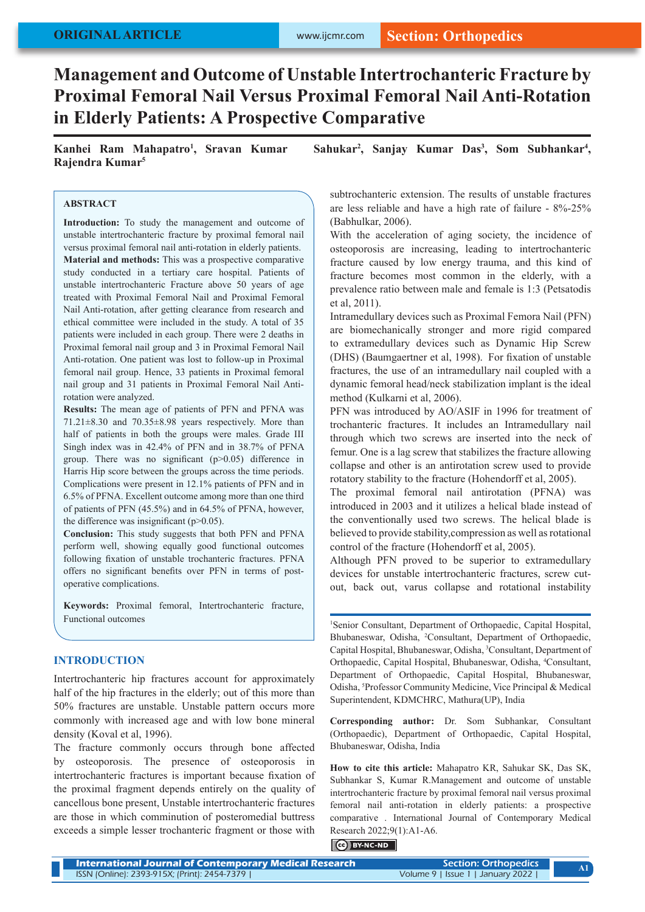# **Management and Outcome of Unstable Intertrochanteric Fracture by Proximal Femoral Nail Versus Proximal Femoral Nail Anti-Rotation in Elderly Patients: A Prospective Comparative**

**Kanhei Ram Mahapatro1 , Sravan Kumar Sahukar2 , Sanjay Kumar Das3 , Som Subhankar4 , Rajendra Kumar5**

## **ABSTRACT**

**Introduction:** To study the management and outcome of unstable intertrochanteric fracture by proximal femoral nail versus proximal femoral nail anti-rotation in elderly patients.

**Material and methods:** This was a prospective comparative study conducted in a tertiary care hospital. Patients of unstable intertrochanteric Fracture above 50 years of age treated with Proximal Femoral Nail and Proximal Femoral Nail Anti-rotation, after getting clearance from research and ethical committee were included in the study. A total of 35 patients were included in each group. There were 2 deaths in Proximal femoral nail group and 3 in Proximal Femoral Nail Anti-rotation. One patient was lost to follow-up in Proximal femoral nail group. Hence, 33 patients in Proximal femoral nail group and 31 patients in Proximal Femoral Nail Antirotation were analyzed.

**Results:** The mean age of patients of PFN and PFNA was 71.21±8.30 and 70.35±8.98 years respectively. More than half of patients in both the groups were males. Grade III Singh index was in 42.4% of PFN and in 38.7% of PFNA group. There was no significant  $(p>0.05)$  difference in Harris Hip score between the groups across the time periods. Complications were present in 12.1% patients of PFN and in 6.5% of PFNA. Excellent outcome among more than one third of patients of PFN (45.5%) and in 64.5% of PFNA, however, the difference was insignificant  $(p>0.05)$ .

**Conclusion:** This study suggests that both PFN and PFNA perform well, showing equally good functional outcomes following fixation of unstable trochanteric fractures. PFNA offers no significant benefits over PFN in terms of postoperative complications.

**Keywords:** Proximal femoral, Intertrochanteric fracture, Functional outcomes

# **INTRODUCTION**

Intertrochanteric hip fractures account for approximately half of the hip fractures in the elderly; out of this more than 50% fractures are unstable. Unstable pattern occurs more commonly with increased age and with low bone mineral density (Koval et al, 1996).

The fracture commonly occurs through bone affected by osteoporosis. The presence of osteoporosis in intertrochanteric fractures is important because fixation of the proximal fragment depends entirely on the quality of cancellous bone present, Unstable intertrochanteric fractures are those in which comminution of posteromedial buttress exceeds a simple lesser trochanteric fragment or those with

subtrochanteric extension. The results of unstable fractures are less reliable and have a high rate of failure - 8%-25% (Babhulkar, 2006).

With the acceleration of aging society, the incidence of osteoporosis are increasing, leading to intertrochanteric fracture caused by low energy trauma, and this kind of fracture becomes most common in the elderly, with a prevalence ratio between male and female is 1:3 (Petsatodis et al, 2011).

Intramedullary devices such as Proximal Femora Nail (PFN) are biomechanically stronger and more rigid compared to extramedullary devices such as Dynamic Hip Screw (DHS) (Baumgaertner et al, 1998). For fixation of unstable fractures, the use of an intramedullary nail coupled with a dynamic femoral head/neck stabilization implant is the ideal method (Kulkarni et al, 2006).

PFN was introduced by AO/ASIF in 1996 for treatment of trochanteric fractures. It includes an Intramedullary nail through which two screws are inserted into the neck of femur. One is a lag screw that stabilizes the fracture allowing collapse and other is an antirotation screw used to provide rotatory stability to the fracture (Hohendorff et al, 2005).

The proximal femoral nail antirotation (PFNA) was introduced in 2003 and it utilizes a helical blade instead of the conventionally used two screws. The helical blade is believed to provide stability,compression as well as rotational control of the fracture (Hohendorff et al, 2005).

Although PFN proved to be superior to extramedullary devices for unstable intertrochanteric fractures, screw cutout, back out, varus collapse and rotational instability

1 Senior Consultant, Department of Orthopaedic, Capital Hospital, Bhubaneswar, Odisha, <sup>2</sup> Consultant, Department of Orthopaedic, Capital Hospital, Bhubaneswar, Odisha, <sup>3</sup> Consultant, Department of Orthopaedic, Capital Hospital, Bhubaneswar, Odisha, <sup>4</sup>Consultant, Department of Orthopaedic, Capital Hospital, Bhubaneswar, Odisha, 5 Professor Community Medicine, Vice Principal & Medical Superintendent, KDMCHRC, Mathura(UP), India

**Corresponding author:** Dr. Som Subhankar, Consultant (Orthopaedic), Department of Orthopaedic, Capital Hospital, Bhubaneswar, Odisha, India

**How to cite this article:** Mahapatro KR, Sahukar SK, Das SK, Subhankar S, Kumar R.Management and outcome of unstable intertrochanteric fracture by proximal femoral nail versus proximal femoral nail anti-rotation in elderly patients: a prospective comparative . International Journal of Contemporary Medical Research 2022;9(1):A1-A6.

# **C**BY-NC-ND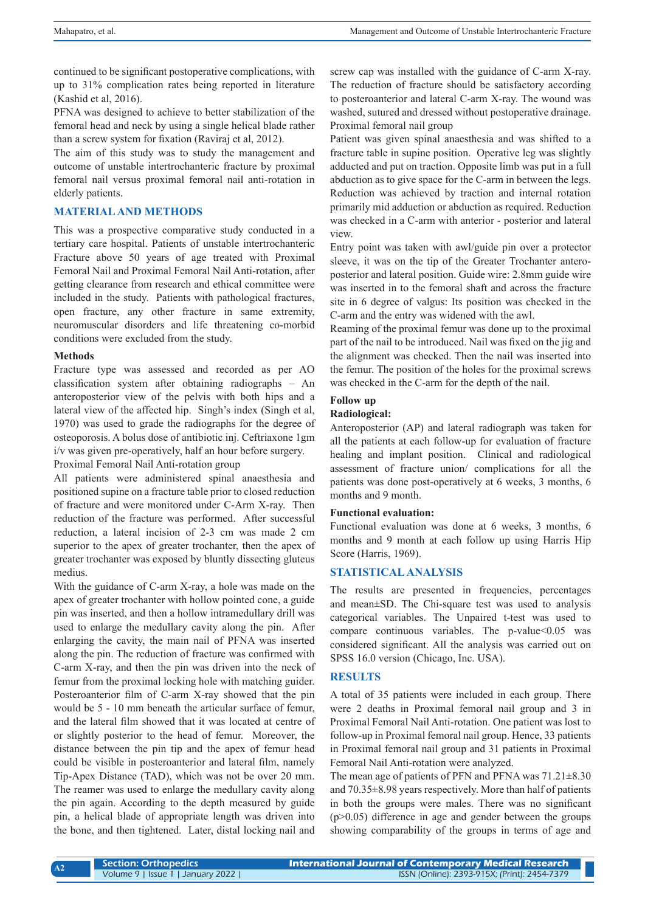continued to be significant postoperative complications, with up to 31% complication rates being reported in literature (Kashid et al, 2016).

PFNA was designed to achieve to better stabilization of the femoral head and neck by using a single helical blade rather than a screw system for fixation (Raviraj et al, 2012).

The aim of this study was to study the management and outcome of unstable intertrochanteric fracture by proximal femoral nail versus proximal femoral nail anti-rotation in elderly patients.

# **MATERIAL AND METHODS**

This was a prospective comparative study conducted in a tertiary care hospital. Patients of unstable intertrochanteric Fracture above 50 years of age treated with Proximal Femoral Nail and Proximal Femoral Nail Anti-rotation, after getting clearance from research and ethical committee were included in the study. Patients with pathological fractures, open fracture, any other fracture in same extremity, neuromuscular disorders and life threatening co-morbid conditions were excluded from the study.

#### **Methods**

Fracture type was assessed and recorded as per AO classification system after obtaining radiographs – An anteroposterior view of the pelvis with both hips and a lateral view of the affected hip. Singh's index (Singh et al, 1970) was used to grade the radiographs for the degree of osteoporosis. A bolus dose of antibiotic inj. Ceftriaxone 1gm i/v was given pre-operatively, half an hour before surgery.

Proximal Femoral Nail Anti-rotation group

All patients were administered spinal anaesthesia and positioned supine on a fracture table prior to closed reduction of fracture and were monitored under C-Arm X-ray. Then reduction of the fracture was performed. After successful reduction, a lateral incision of 2-3 cm was made 2 cm superior to the apex of greater trochanter, then the apex of greater trochanter was exposed by bluntly dissecting gluteus medius.

With the guidance of C-arm X-ray, a hole was made on the apex of greater trochanter with hollow pointed cone, a guide pin was inserted, and then a hollow intramedullary drill was used to enlarge the medullary cavity along the pin. After enlarging the cavity, the main nail of PFNA was inserted along the pin. The reduction of fracture was confirmed with C-arm X-ray, and then the pin was driven into the neck of femur from the proximal locking hole with matching guider. Posteroanterior film of C-arm X-ray showed that the pin would be 5 - 10 mm beneath the articular surface of femur, and the lateral film showed that it was located at centre of or slightly posterior to the head of femur. Moreover, the distance between the pin tip and the apex of femur head could be visible in posteroanterior and lateral film, namely Tip-Apex Distance (TAD), which was not be over 20 mm. The reamer was used to enlarge the medullary cavity along the pin again. According to the depth measured by guide pin, a helical blade of appropriate length was driven into the bone, and then tightened. Later, distal locking nail and

screw cap was installed with the guidance of C-arm X-ray. The reduction of fracture should be satisfactory according to posteroanterior and lateral C-arm X-ray. The wound was washed, sutured and dressed without postoperative drainage. Proximal femoral nail group

Patient was given spinal anaesthesia and was shifted to a fracture table in supine position. Operative leg was slightly adducted and put on traction. Opposite limb was put in a full abduction as to give space for the C-arm in between the legs. Reduction was achieved by traction and internal rotation primarily mid adduction or abduction as required. Reduction was checked in a C-arm with anterior - posterior and lateral view.

Entry point was taken with awl/guide pin over a protector sleeve, it was on the tip of the Greater Trochanter anteroposterior and lateral position. Guide wire: 2.8mm guide wire was inserted in to the femoral shaft and across the fracture site in 6 degree of valgus: Its position was checked in the C-arm and the entry was widened with the awl.

Reaming of the proximal femur was done up to the proximal part of the nail to be introduced. Nail was fixed on the jig and the alignment was checked. Then the nail was inserted into the femur. The position of the holes for the proximal screws was checked in the C-arm for the depth of the nail.

# **Follow up**

### **Radiological:**

Anteroposterior (AP) and lateral radiograph was taken for all the patients at each follow-up for evaluation of fracture healing and implant position. Clinical and radiological assessment of fracture union/ complications for all the patients was done post-operatively at 6 weeks, 3 months, 6 months and 9 month.

#### **Functional evaluation:**

Functional evaluation was done at 6 weeks, 3 months, 6 months and 9 month at each follow up using Harris Hip Score (Harris, 1969).

# **STATISTICAL ANALYSIS**

The results are presented in frequencies, percentages and mean±SD. The Chi-square test was used to analysis categorical variables. The Unpaired t-test was used to compare continuous variables. The  $p$ -value $\leq 0.05$  was considered significant. All the analysis was carried out on SPSS 16.0 version (Chicago, Inc. USA).

#### **RESULTS**

A total of 35 patients were included in each group. There were 2 deaths in Proximal femoral nail group and 3 in Proximal Femoral Nail Anti-rotation. One patient was lost to follow-up in Proximal femoral nail group. Hence, 33 patients in Proximal femoral nail group and 31 patients in Proximal Femoral Nail Anti-rotation were analyzed.

The mean age of patients of PFN and PFNA was  $71.21 \pm 8.30$ and 70.35±8.98 years respectively. More than half of patients in both the groups were males. There was no significant (p>0.05) difference in age and gender between the groups showing comparability of the groups in terms of age and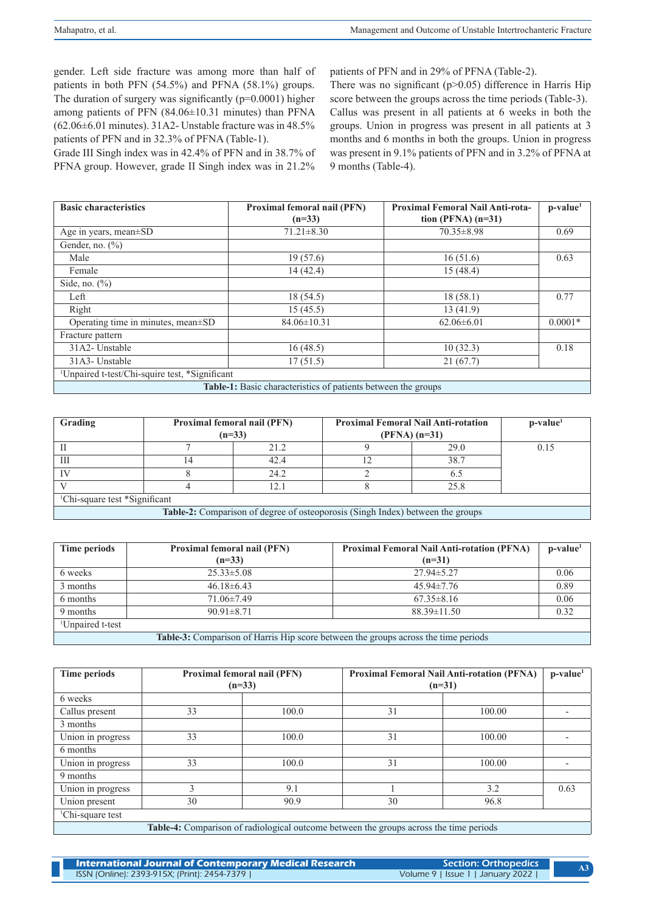gender. Left side fracture was among more than half of patients in both PFN (54.5%) and PFNA (58.1%) groups. The duration of surgery was significantly (p=0.0001) higher among patients of PFN (84.06±10.31 minutes) than PFNA (62.06±6.01 minutes). 31A2- Unstable fracture was in 48.5% patients of PFN and in 32.3% of PFNA (Table-1).

Grade III Singh index was in 42.4% of PFN and in 38.7% of PFNA group. However, grade II Singh index was in 21.2%

patients of PFN and in 29% of PFNA (Table-2). There was no significant  $(p>0.05)$  difference in Harris Hip score between the groups across the time periods (Table-3). Callus was present in all patients at 6 weeks in both the groups. Union in progress was present in all patients at 3 months and 6 months in both the groups. Union in progress was present in 9.1% patients of PFN and in 3.2% of PFNA at 9 months (Table-4).

| <b>Basic characteristics</b>                                         | Proximal femoral nail (PFN) | <b>Proximal Femoral Nail Anti-rota-</b> | $p-value1$ |  |  |
|----------------------------------------------------------------------|-----------------------------|-----------------------------------------|------------|--|--|
|                                                                      | $(n=33)$                    | tion (PFNA) $(n=31)$                    |            |  |  |
| Age in years, mean±SD                                                | $71.21 \pm 8.30$            | $70.35 \pm 8.98$                        | 0.69       |  |  |
| Gender, no. $(\%)$                                                   |                             |                                         |            |  |  |
| Male                                                                 | 19(57.6)                    | 16(51.6)                                | 0.63       |  |  |
| Female                                                               | 14(42.4)                    | 15 (48.4)                               |            |  |  |
| Side, no. $(\%)$                                                     |                             |                                         |            |  |  |
| Left                                                                 | 18 (54.5)                   | 18(58.1)                                | 0.77       |  |  |
| Right                                                                | 15(45.5)                    | 13 (41.9)                               |            |  |  |
| Operating time in minutes, mean±SD                                   | $84.06 \pm 10.31$           | $62.06\pm6.01$                          | $0.0001*$  |  |  |
| Fracture pattern                                                     |                             |                                         |            |  |  |
| 31A2-Unstable                                                        | 16(48.5)                    | 10(32.3)                                | 0.18       |  |  |
| 31A3-Unstable                                                        | 17(51.5)                    | 21(67.7)                                |            |  |  |
| <sup>1</sup> Unpaired t-test/Chi-squire test, *Significant           |                             |                                         |            |  |  |
| <b>Table-1:</b> Basic characteristics of patients between the groups |                             |                                         |            |  |  |

| Grading                                                                        | Proximal femoral nail (PFN)<br>$(n=33)$ |      | <b>Proximal Femoral Nail Anti-rotation</b><br>$(PFNA)$ (n=31) |      | $p-value1$ |  |
|--------------------------------------------------------------------------------|-----------------------------------------|------|---------------------------------------------------------------|------|------------|--|
|                                                                                |                                         | 21.2 |                                                               | 29.0 | 0.15       |  |
| Ш                                                                              | 14                                      | 42.4 |                                                               | 38.7 |            |  |
|                                                                                |                                         | 24.2 |                                                               | 6.5  |            |  |
|                                                                                |                                         | 12.1 |                                                               | 25.8 |            |  |
| <sup>1</sup> Chi-square test *Significant                                      |                                         |      |                                                               |      |            |  |
| Table-2: Comparison of degree of osteoporosis (Singh Index) between the groups |                                         |      |                                                               |      |            |  |

| Time periods                                                                              | Proximal femoral nail (PFN) | <b>Proximal Femoral Nail Anti-rotation (PFNA)</b> | $p-value1$ |  |  |
|-------------------------------------------------------------------------------------------|-----------------------------|---------------------------------------------------|------------|--|--|
|                                                                                           | $(n=33)$                    | $(n=31)$                                          |            |  |  |
| 6 weeks                                                                                   | $25.33 \pm 5.08$            | $27.94 \pm 5.27$                                  | 0.06       |  |  |
| 3 months                                                                                  | $46.18\pm6.43$              | $45.94 \pm 7.76$                                  | 0.89       |  |  |
| 6 months                                                                                  | $71.06\pm7.49$              | $67.35\pm8.16$                                    | 0.06       |  |  |
| 9 months                                                                                  | $90.91 \pm 8.71$            | $88.39 \pm 11.50$                                 | 0.32       |  |  |
| <sup>1</sup> Unpaired t-test                                                              |                             |                                                   |            |  |  |
| <b>Table-3:</b> Comparison of Harris Hip score between the groups across the time periods |                             |                                                   |            |  |  |

| <b>Time periods</b>          |                                                                                        | Proximal femoral nail (PFN)<br>$(n=33)$ | Proximal Femoral Nail Anti-rotation (PFNA)<br>$(n=31)$ |        | $p-value1$ |  |
|------------------------------|----------------------------------------------------------------------------------------|-----------------------------------------|--------------------------------------------------------|--------|------------|--|
| 6 weeks                      |                                                                                        |                                         |                                                        |        |            |  |
| Callus present               | 33                                                                                     | 100.0                                   | 31                                                     | 100.00 |            |  |
| 3 months                     |                                                                                        |                                         |                                                        |        |            |  |
| Union in progress            | 33                                                                                     | 100.0                                   | 31                                                     | 100.00 |            |  |
| 6 months                     |                                                                                        |                                         |                                                        |        |            |  |
| Union in progress            | 33                                                                                     | 100.0                                   | 31                                                     | 100.00 |            |  |
| 9 months                     |                                                                                        |                                         |                                                        |        |            |  |
| Union in progress            |                                                                                        | 9.1                                     |                                                        | 3.2    | 0.63       |  |
| Union present                | 30                                                                                     | 90.9                                    | 30                                                     | 96.8   |            |  |
| <sup>1</sup> Chi-square test |                                                                                        |                                         |                                                        |        |            |  |
|                              | Table-4: Comparison of radiological outcome between the groups across the time periods |                                         |                                                        |        |            |  |

| International Journal of Contemporary Medical Research | Section: Orthopedics              |  |
|--------------------------------------------------------|-----------------------------------|--|
| ISSN (Online): 2393-915X; (Print): 2454-7379           | Volume 9   Issue 1   January 2022 |  |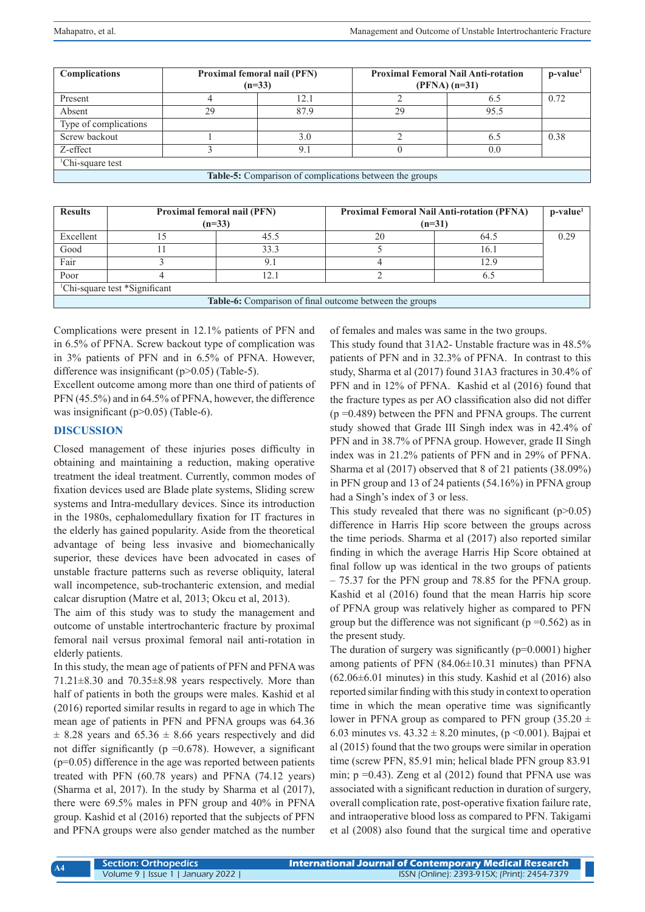| <b>Complications</b>                                           | <b>Proximal femoral nail (PFN)</b><br>$(n=33)$ |      | <b>Proximal Femoral Nail Anti-rotation</b><br>$(PFNA)$ (n=31) |      | $p-value1$ |
|----------------------------------------------------------------|------------------------------------------------|------|---------------------------------------------------------------|------|------------|
| Present                                                        |                                                | 12.1 |                                                               | 6.5  | 0.72       |
| Absent                                                         | 29                                             | 87.9 | 29                                                            | 95.5 |            |
| Type of complications                                          |                                                |      |                                                               |      |            |
| Screw backout                                                  |                                                | 3.0  |                                                               | 6.5  | 0.38       |
| Z-effect                                                       |                                                | 9.1  |                                                               | 0.0  |            |
| <sup>1</sup> Chi-square test                                   |                                                |      |                                                               |      |            |
| <b>Table-5:</b> Comparison of complications between the groups |                                                |      |                                                               |      |            |

| <b>Results</b>                                                 | <b>Proximal femoral nail (PFN)</b> |      | <b>Proximal Femoral Nail Anti-rotation (PFNA)</b> | $p-value1$ |      |  |
|----------------------------------------------------------------|------------------------------------|------|---------------------------------------------------|------------|------|--|
|                                                                | $(n=33)$                           |      | $(n=31)$                                          |            |      |  |
| Excellent                                                      |                                    | 45.5 | 20                                                | 64.5       | 0.29 |  |
| Good                                                           |                                    | 33.3 |                                                   | 16.1       |      |  |
| Fair                                                           |                                    | 9.1  |                                                   | 12.9       |      |  |
| Poor                                                           |                                    | 12.1 |                                                   | 6:         |      |  |
| <sup>1</sup> Chi-square test *Significant                      |                                    |      |                                                   |            |      |  |
| <b>Table-6:</b> Comparison of final outcome between the groups |                                    |      |                                                   |            |      |  |

Complications were present in 12.1% patients of PFN and in 6.5% of PFNA. Screw backout type of complication was in 3% patients of PFN and in 6.5% of PFNA. However, difference was insignificant (p>0.05) (Table-5).

Excellent outcome among more than one third of patients of PFN (45.5%) and in 64.5% of PFNA, however, the difference was insignificant ( $p>0.05$ ) (Table-6).

# **DISCUSSION**

Closed management of these injuries poses difficulty in obtaining and maintaining a reduction, making operative treatment the ideal treatment. Currently, common modes of fixation devices used are Blade plate systems, Sliding screw systems and Intra-medullary devices. Since its introduction in the 1980s, cephalomedullary fixation for IT fractures in the elderly has gained popularity. Aside from the theoretical advantage of being less invasive and biomechanically superior, these devices have been advocated in cases of unstable fracture patterns such as reverse obliquity, lateral wall incompetence, sub-trochanteric extension, and medial calcar disruption (Matre et al, 2013; Okcu et al, 2013).

The aim of this study was to study the management and outcome of unstable intertrochanteric fracture by proximal femoral nail versus proximal femoral nail anti-rotation in elderly patients.

In this study, the mean age of patients of PFN and PFNA was 71.21±8.30 and 70.35±8.98 years respectively. More than half of patients in both the groups were males. Kashid et al (2016) reported similar results in regard to age in which The mean age of patients in PFN and PFNA groups was 64.36  $\pm$  8.28 years and 65.36  $\pm$  8.66 years respectively and did not differ significantly ( $p = 0.678$ ). However, a significant (p=0.05) difference in the age was reported between patients treated with PFN (60.78 years) and PFNA (74.12 years) (Sharma et al, 2017). In the study by Sharma et al (2017), there were 69.5% males in PFN group and 40% in PFNA group. Kashid et al (2016) reported that the subjects of PFN and PFNA groups were also gender matched as the number of females and males was same in the two groups.

This study found that 31A2- Unstable fracture was in 48.5% patients of PFN and in 32.3% of PFNA. In contrast to this study, Sharma et al (2017) found 31A3 fractures in 30.4% of PFN and in 12% of PFNA. Kashid et al (2016) found that the fracture types as per AO classification also did not differ (p =0.489) between the PFN and PFNA groups. The current study showed that Grade III Singh index was in 42.4% of PFN and in 38.7% of PFNA group. However, grade II Singh index was in 21.2% patients of PFN and in 29% of PFNA. Sharma et al (2017) observed that 8 of 21 patients (38.09%) in PFN group and 13 of 24 patients (54.16%) in PFNA group had a Singh's index of 3 or less.

This study revealed that there was no significant  $(p>0.05)$ difference in Harris Hip score between the groups across the time periods. Sharma et al (2017) also reported similar finding in which the average Harris Hip Score obtained at final follow up was identical in the two groups of patients – 75.37 for the PFN group and 78.85 for the PFNA group. Kashid et al (2016) found that the mean Harris hip score of PFNA group was relatively higher as compared to PFN group but the difference was not significant ( $p = 0.562$ ) as in the present study.

The duration of surgery was significantly  $(p=0.0001)$  higher among patients of PFN (84.06±10.31 minutes) than PFNA  $(62.06\pm6.01$  minutes) in this study. Kashid et al  $(2016)$  also reported similar finding with this study in context to operation time in which the mean operative time was significantly lower in PFNA group as compared to PFN group (35.20  $\pm$ 6.03 minutes vs.  $43.32 \pm 8.20$  minutes, (p < 0.001). Bajpai et al (2015) found that the two groups were similar in operation time (screw PFN, 85.91 min; helical blade PFN group 83.91 min;  $p = 0.43$ ). Zeng et al (2012) found that PFNA use was associated with a significant reduction in duration of surgery, overall complication rate, post-operative fixation failure rate, and intraoperative blood loss as compared to PFN. Takigami et al (2008) also found that the surgical time and operative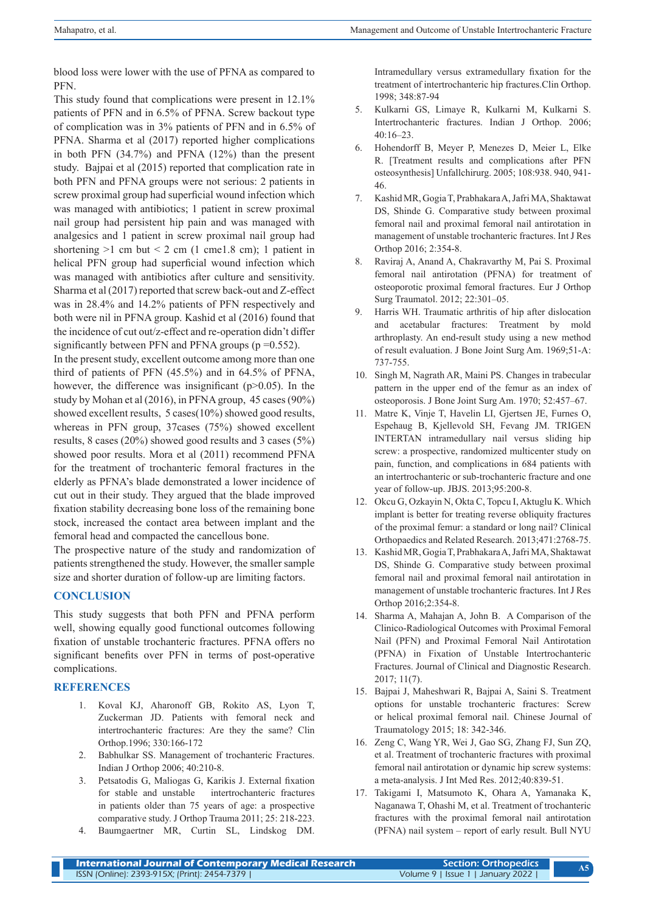blood loss were lower with the use of PFNA as compared to PFN.

This study found that complications were present in 12.1% patients of PFN and in 6.5% of PFNA. Screw backout type of complication was in 3% patients of PFN and in 6.5% of PFNA. Sharma et al (2017) reported higher complications in both PFN (34.7%) and PFNA (12%) than the present study. Bajpai et al (2015) reported that complication rate in both PFN and PFNA groups were not serious: 2 patients in screw proximal group had superficial wound infection which was managed with antibiotics; 1 patient in screw proximal nail group had persistent hip pain and was managed with analgesics and 1 patient in screw proximal nail group had shortening  $>1$  cm but  $< 2$  cm (1 cme1.8 cm); 1 patient in helical PFN group had superficial wound infection which was managed with antibiotics after culture and sensitivity. Sharma et al (2017) reported that screw back-out and Z-effect was in 28.4% and 14.2% patients of PFN respectively and both were nil in PFNA group. Kashid et al (2016) found that the incidence of cut out/z-effect and re-operation didn't differ significantly between PFN and PFNA groups  $(p=0.552)$ .

In the present study, excellent outcome among more than one third of patients of PFN (45.5%) and in 64.5% of PFNA, however, the difference was insignificant (p>0.05). In the study by Mohan et al (2016), in PFNA group, 45 cases (90%) showed excellent results, 5 cases(10%) showed good results, whereas in PFN group, 37cases (75%) showed excellent results, 8 cases (20%) showed good results and 3 cases (5%) showed poor results. Mora et al (2011) recommend PFNA for the treatment of trochanteric femoral fractures in the elderly as PFNA's blade demonstrated a lower incidence of cut out in their study. They argued that the blade improved fixation stability decreasing bone loss of the remaining bone stock, increased the contact area between implant and the femoral head and compacted the cancellous bone.

The prospective nature of the study and randomization of patients strengthened the study. However, the smaller sample size and shorter duration of follow-up are limiting factors.

# **CONCLUSION**

This study suggests that both PFN and PFNA perform well, showing equally good functional outcomes following fixation of unstable trochanteric fractures. PFNA offers no significant benefits over PFN in terms of post-operative complications.

# **REFERENCES**

- 1. Koval KJ, Aharonoff GB, Rokito AS, Lyon T, Zuckerman JD. Patients with femoral neck and intertrochanteric fractures: Are they the same? Clin Orthop.1996; 330:166-172
- 2. Babhulkar SS. Management of trochanteric Fractures. Indian J Orthop 2006; 40:210-8.
- 3. Petsatodis G, Maliogas G, Karikis J. External fixation for stable and unstable intertrochanteric fractures in patients older than 75 years of age: a prospective comparative study. J Orthop Trauma 2011; 25: 218-223.
- 4. Baumgaertner MR, Curtin SL, Lindskog DM.

Intramedullary versus extramedullary fixation for the treatment of intertrochanteric hip fractures.Clin Orthop. 1998; 348:87-94

- 5. Kulkarni GS, Limaye R, Kulkarni M, Kulkarni S. Intertrochanteric fractures. Indian J Orthop. 2006; 40:16–23.
- 6. Hohendorff B, Meyer P, Menezes D, Meier L, Elke R. [Treatment results and complications after PFN osteosynthesis] Unfallchirurg. 2005; 108:938. 940, 941- 46.
- 7. Kashid MR, Gogia T, Prabhakara A, Jafri MA, Shaktawat DS, Shinde G. Comparative study between proximal femoral nail and proximal femoral nail antirotation in management of unstable trochanteric fractures. Int J Res Orthop 2016; 2:354-8.
- 8. Raviraj A, Anand A, Chakravarthy M, Pai S. Proximal femoral nail antirotation (PFNA) for treatment of osteoporotic proximal femoral fractures. Eur J Orthop Surg Traumatol. 2012; 22:301–05.
- 9. Harris WH. Traumatic arthritis of hip after dislocation and acetabular fractures: Treatment by mold arthroplasty. An end-result study using a new method of result evaluation. J Bone Joint Surg Am. 1969;51-A: 737-755.
- 10. Singh M, Nagrath AR, Maini PS. Changes in trabecular pattern in the upper end of the femur as an index of osteoporosis. J Bone Joint Surg Am. 1970; 52:457–67.
- 11. Matre K, Vinje T, Havelin LI, Gjertsen JE, Furnes O, Espehaug B, Kjellevold SH, Fevang JM. TRIGEN INTERTAN intramedullary nail versus sliding hip screw: a prospective, randomized multicenter study on pain, function, and complications in 684 patients with an intertrochanteric or sub-trochanteric fracture and one year of follow-up. JBJS. 2013;95:200-8.
- 12. Okcu G, Ozkayin N, Okta C, Topcu I, Aktuglu K. Which implant is better for treating reverse obliquity fractures of the proximal femur: a standard or long nail? Clinical Orthopaedics and Related Research. 2013;471:2768-75.
- 13. Kashid MR, Gogia T, Prabhakara A, Jafri MA, Shaktawat DS, Shinde G. Comparative study between proximal femoral nail and proximal femoral nail antirotation in management of unstable trochanteric fractures. Int J Res Orthop 2016;2:354-8.
- 14. Sharma A, Mahajan A, John B. A Comparison of the Clinico-Radiological Outcomes with Proximal Femoral Nail (PFN) and Proximal Femoral Nail Antirotation (PFNA) in Fixation of Unstable Intertrochanteric Fractures. Journal of Clinical and Diagnostic Research. 2017; 11(7).
- 15. Bajpai J, Maheshwari R, Bajpai A, Saini S. Treatment options for unstable trochanteric fractures: Screw or helical proximal femoral nail. Chinese Journal of Traumatology 2015; 18: 342-346.
- 16. Zeng C, Wang YR, Wei J, Gao SG, Zhang FJ, Sun ZQ, et al. Treatment of trochanteric fractures with proximal femoral nail antirotation or dynamic hip screw systems: a meta-analysis. J Int Med Res. 2012;40:839-51.
- 17. Takigami I, Matsumoto K, Ohara A, Yamanaka K, Naganawa T, Ohashi M, et al. Treatment of trochanteric fractures with the proximal femoral nail antirotation (PFNA) nail system – report of early result. Bull NYU